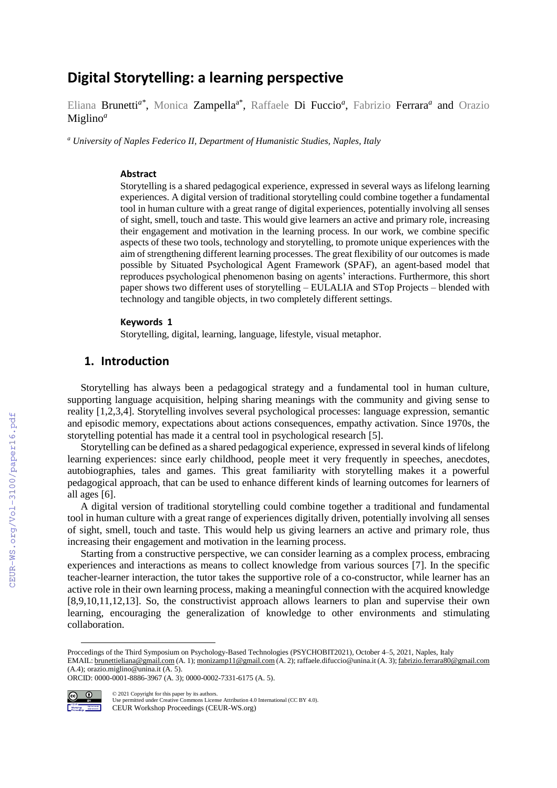# **Digital Storytelling: a learning perspective**

Eliana Brunetti<sup>a\*</sup>, Monica Zampella<sup>a\*</sup>, Raffaele Di Fuccio<sup>a</sup>, Fabrizio Ferrara<sup>a</sup> and Orazio Miglino*<sup>a</sup>*

*<sup>a</sup> University of Naples Federico II, Department of Humanistic Studies, Naples, Italy*

#### **Abstract**

Storytelling is a shared pedagogical experience, expressed in several ways as lifelong learning experiences. A digital version of traditional storytelling could combine together a fundamental tool in human culture with a great range of digital experiences, potentially involving all senses of sight, smell, touch and taste. This would give learners an active and primary role, increasing their engagement and motivation in the learning process. In our work, we combine specific aspects of these two tools, technology and storytelling, to promote unique experiences with the aim of strengthening different learning processes. The great flexibility of our outcomes is made possible by Situated Psychological Agent Framework (SPAF), an agent-based model that reproduces psychological phenomenon basing on agents' interactions. Furthermore, this short paper shows two different uses of storytelling – EULALIA and STop Projects – blended with technology and tangible objects, in two completely different settings.

#### **Keywords 1**

Storytelling, digital, learning, language, lifestyle, visual metaphor.

#### **1. Introduction**

Storytelling has always been a pedagogical strategy and a fundamental tool in human culture, supporting language acquisition, helping sharing meanings with the community and giving sense to reality [1,2,3,4]. Storytelling involves several psychological processes: language expression, semantic and episodic memory, expectations about actions consequences, empathy activation. Since 1970s, the storytelling potential has made it a central tool in psychological research [5].

Storytelling can be defined as a shared pedagogical experience, expressed in several kinds of lifelong learning experiences: since early childhood, people meet it very frequently in speeches, anecdotes, autobiographies, tales and games. This great familiarity with storytelling makes it a powerful pedagogical approach, that can be used to enhance different kinds of learning outcomes for learners of all ages [6].

A digital version of traditional storytelling could combine together a traditional and fundamental tool in human culture with a great range of experiences digitally driven, potentially involving all senses of sight, smell, touch and taste. This would help us giving learners an active and primary role, thus increasing their engagement and motivation in the learning process.

Starting from a constructive perspective, we can consider learning as a complex process, embracing experiences and interactions as means to collect knowledge from various sources [7]. In the specific teacher-learner interaction, the tutor takes the supportive role of a co-constructor, while learner has an active role in their own learning process, making a meaningful connection with the acquired knowledge [8,9,10,11,12,13]. So, the constructivist approach allows learners to plan and supervise their own learning, encouraging the generalization of knowledge to other environments and stimulating collaboration.

ORCID: 0000-0001-8886-3967 (A. 3); 0000-0002-7331-6175 (A. 5).



 $\overline{a}$ 

©️ 2021 Copyright for this paper by its authors. Use permitted under Creative Commons License Attribution 4.0 International (CC BY 4.0). CEUR Workshop Proceedings (CEUR-WS.org)

Proccedings of the Third Symposium on Psychology-Based Technologies (PSYCHOBIT2021), October 4–5, 2021, Naples, Italy EMAIL: [brunettieliana@gmail.com](mailto:brunettieliana@gmail.com) (A. 1); [monizamp11@gmail.com](mailto:monizamp11@gmail.com) (A. 2); raffaele.difuccio@unina.it (A. 3); [fabrizio.ferrara80@gmail.com](mailto:fabrizio.ferrara80@gmail.com) (A.4); orazio.miglino@unina.it (A. 5).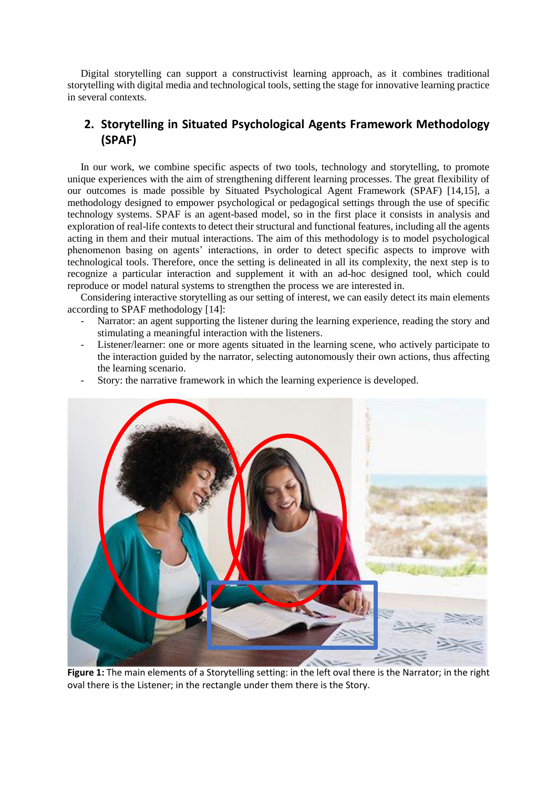Digital storytelling can support a constructivist learning approach, as it combines traditional storytelling with digital media and technological tools, setting the stage for innovative learning practice in several contexts.

## **2. Storytelling in Situated Psychological Agents Framework Methodology (SPAF)**

In our work, we combine specific aspects of two tools, technology and storytelling, to promote unique experiences with the aim of strengthening different learning processes. The great flexibility of our outcomes is made possible by Situated Psychological Agent Framework (SPAF) [14,15], a methodology designed to empower psychological or pedagogical settings through the use of specific technology systems. SPAF is an agent-based model, so in the first place it consists in analysis and exploration of real-life contexts to detect their structural and functional features, including all the agents acting in them and their mutual interactions. The aim of this methodology is to model psychological phenomenon basing on agents' interactions, in order to detect specific aspects to improve with technological tools. Therefore, once the setting is delineated in all its complexity, the next step is to recognize a particular interaction and supplement it with an ad-hoc designed tool, which could reproduce or model natural systems to strengthen the process we are interested in.

Considering interactive storytelling as our setting of interest, we can easily detect its main elements according to SPAF methodology [14]:

- Narrator: an agent supporting the listener during the learning experience, reading the story and stimulating a meaningful interaction with the listeners.
- Listener/learner: one or more agents situated in the learning scene, who actively participate to the interaction guided by the narrator, selecting autonomously their own actions, thus affecting the learning scenario.
- Story: the narrative framework in which the learning experience is developed.



**Figure 1:** The main elements of a Storytelling setting: in the left oval there is the Narrator; in the right oval there is the Listener; in the rectangle under them there is the Story.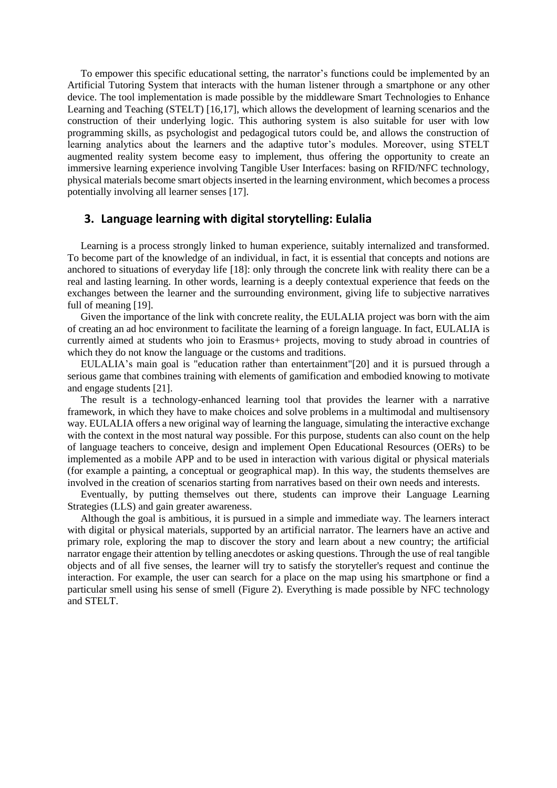To empower this specific educational setting, the narrator's functions could be implemented by an Artificial Tutoring System that interacts with the human listener through a smartphone or any other device. The tool implementation is made possible by the middleware Smart Technologies to Enhance Learning and Teaching (STELT) [16,17], which allows the development of learning scenarios and the construction of their underlying logic. This authoring system is also suitable for user with low programming skills, as psychologist and pedagogical tutors could be, and allows the construction of learning analytics about the learners and the adaptive tutor's modules. Moreover, using STELT augmented reality system become easy to implement, thus offering the opportunity to create an immersive learning experience involving Tangible User Interfaces: basing on RFID/NFC technology, physical materials become smart objects inserted in the learning environment, which becomes a process potentially involving all learner senses [17].

#### **3. Language learning with digital storytelling: Eulalia**

Learning is a process strongly linked to human experience, suitably internalized and transformed. To become part of the knowledge of an individual, in fact, it is essential that concepts and notions are anchored to situations of everyday life [18]: only through the concrete link with reality there can be a real and lasting learning. In other words, learning is a deeply contextual experience that feeds on the exchanges between the learner and the surrounding environment, giving life to subjective narratives full of meaning [19].

Given the importance of the link with concrete reality, the EULALIA project was born with the aim of creating an ad hoc environment to facilitate the learning of a foreign language. In fact, EULALIA is currently aimed at students who join to Erasmus+ projects, moving to study abroad in countries of which they do not know the language or the customs and traditions.

EULALIA's main goal is "education rather than entertainment"[20] and it is pursued through a serious game that combines training with elements of gamification and embodied knowing to motivate and engage students [21].

The result is a technology-enhanced learning tool that provides the learner with a narrative framework, in which they have to make choices and solve problems in a multimodal and multisensory way. EULALIA offers a new original way of learning the language, simulating the interactive exchange with the context in the most natural way possible. For this purpose, students can also count on the help of language teachers to conceive, design and implement Open Educational Resources (OERs) to be implemented as a mobile APP and to be used in interaction with various digital or physical materials (for example a painting, a conceptual or geographical map). In this way, the students themselves are involved in the creation of scenarios starting from narratives based on their own needs and interests.

Eventually, by putting themselves out there, students can improve their Language Learning Strategies (LLS) and gain greater awareness.

Although the goal is ambitious, it is pursued in a simple and immediate way. The learners interact with digital or physical materials, supported by an artificial narrator. The learners have an active and primary role, exploring the map to discover the story and learn about a new country; the artificial narrator engage their attention by telling anecdotes or asking questions. Through the use of real tangible objects and of all five senses, the learner will try to satisfy the storyteller's request and continue the interaction. For example, the user can search for a place on the map using his smartphone or find a particular smell using his sense of smell (Figure 2). Everything is made possible by NFC technology and STELT.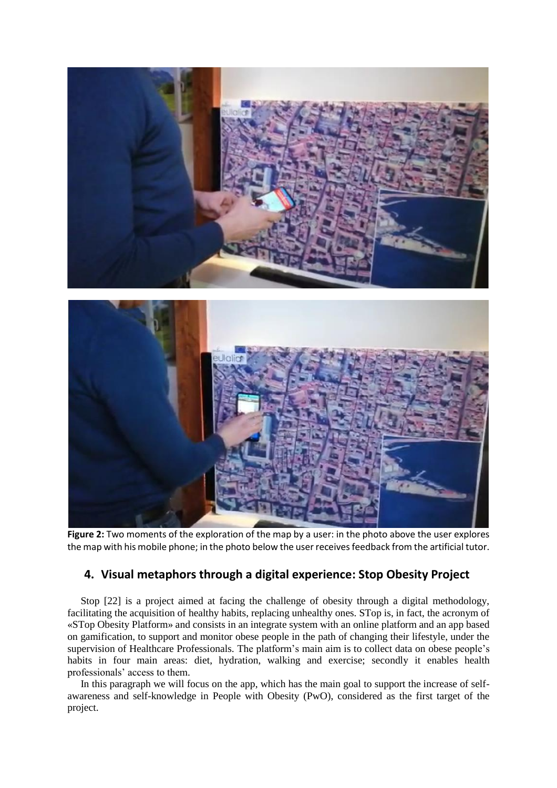



**Figure 2:** Two moments of the exploration of the map by a user: in the photo above the user explores the map with his mobile phone; in the photo below the user receives feedback from the artificial tutor.

## **4. Visual metaphors through a digital experience: Stop Obesity Project**

Stop [22] is a project aimed at facing the challenge of obesity through a digital methodology, facilitating the acquisition of healthy habits, replacing unhealthy ones. STop is, in fact, the acronym of «STop Obesity Platform» and consists in an integrate system with an online platform and an app based on gamification, to support and monitor obese people in the path of changing their lifestyle, under the supervision of Healthcare Professionals. The platform's main aim is to collect data on obese people's habits in four main areas: diet, hydration, walking and exercise; secondly it enables health professionals' access to them.

In this paragraph we will focus on the app, which has the main goal to support the increase of selfawareness and self-knowledge in People with Obesity (PwO), considered as the first target of the project.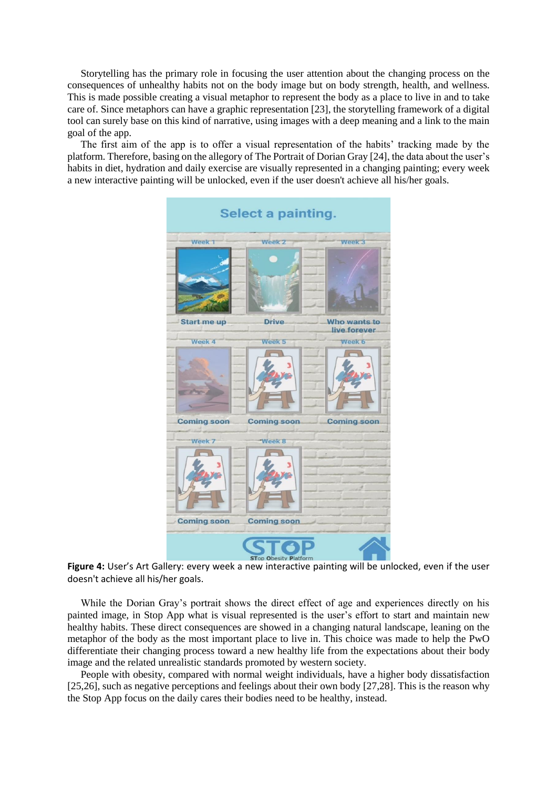Storytelling has the primary role in focusing the user attention about the changing process on the consequences of unhealthy habits not on the body image but on body strength, health, and wellness. This is made possible creating a visual metaphor to represent the body as a place to live in and to take care of. Since metaphors can have a graphic representation [23], the storytelling framework of a digital tool can surely base on this kind of narrative, using images with a deep meaning and a link to the main goal of the app.

The first aim of the app is to offer a visual representation of the habits' tracking made by the platform. Therefore, basing on the allegory of The Portrait of Dorian Gray [24], the data about the user's habits in diet, hydration and daily exercise are visually represented in a changing painting; every week a new interactive painting will be unlocked, even if the user doesn't achieve all his/her goals.



**Figure 4:** User's Art Gallery: every week a new interactive painting will be unlocked, even if the user doesn't achieve all his/her goals.

While the Dorian Gray's portrait shows the direct effect of age and experiences directly on his painted image, in Stop App what is visual represented is the user's effort to start and maintain new healthy habits. These direct consequences are showed in a changing natural landscape, leaning on the metaphor of the body as the most important place to live in. This choice was made to help the PwO differentiate their changing process toward a new healthy life from the expectations about their body image and the related unrealistic standards promoted by western society.

People with obesity, compared with normal weight individuals, have a higher body dissatisfaction [25,26], such as negative perceptions and feelings about their own body [27,28]. This is the reason why the Stop App focus on the daily cares their bodies need to be healthy, instead.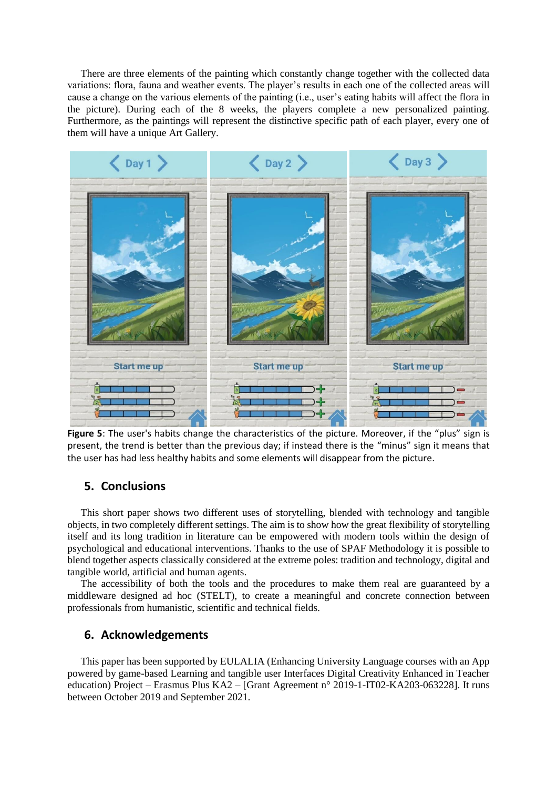There are three elements of the painting which constantly change together with the collected data variations: flora, fauna and weather events. The player's results in each one of the collected areas will cause a change on the various elements of the painting (i.e., user's eating habits will affect the flora in the picture). During each of the 8 weeks, the players complete a new personalized painting. Furthermore, as the paintings will represent the distinctive specific path of each player, every one of them will have a unique Art Gallery.



**Figure 5**: The user's habits change the characteristics of the picture. Moreover, if the "plus" sign is present, the trend is better than the previous day; if instead there is the "minus" sign it means that the user has had less healthy habits and some elements will disappear from the picture.

### **5. Conclusions**

This short paper shows two different uses of storytelling, blended with technology and tangible objects, in two completely different settings. The aim is to show how the great flexibility of storytelling itself and its long tradition in literature can be empowered with modern tools within the design of psychological and educational interventions. Thanks to the use of SPAF Methodology it is possible to blend together aspects classically considered at the extreme poles: tradition and technology, digital and tangible world, artificial and human agents.

The accessibility of both the tools and the procedures to make them real are guaranteed by a middleware designed ad hoc (STELT), to create a meaningful and concrete connection between professionals from humanistic, scientific and technical fields.

### **6. Acknowledgements**

This paper has been supported by EULALIA (Enhancing University Language courses with an App powered by game-based Learning and tangible user Interfaces Digital Creativity Enhanced in Teacher education) Project – Erasmus Plus KA2 – [Grant Agreement n° 2019-1-IT02-KA203-063228]. It runs between October 2019 and September 2021.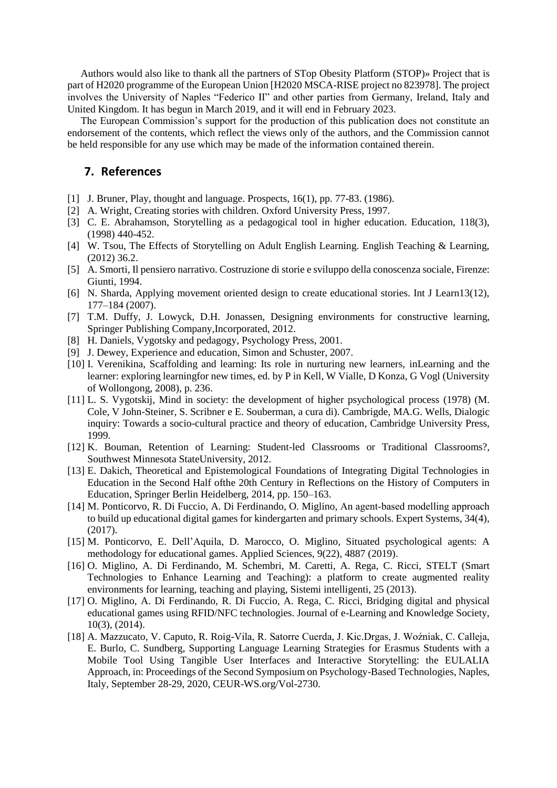Authors would also like to thank all the partners of STop Obesity Platform (STOP)» Project that is part of H2020 programme of the European Union [H2020 MSCA-RISE project no 823978]. The project involves the University of Naples "Federico II" and other parties from Germany, Ireland, Italy and United Kingdom. It has begun in March 2019, and it will end in February 2023.

The European Commission's support for the production of this publication does not constitute an endorsement of the contents, which reflect the views only of the authors, and the Commission cannot be held responsible for any use which may be made of the information contained therein.

### **7. References**

- [1] J. Bruner, Play, thought and language. Prospects, 16(1), pp. 77-83. (1986).
- [2] A. Wright, Creating stories with children. Oxford University Press, 1997.
- [3] C. E. Abrahamson, Storytelling as a pedagogical tool in higher education. Education, 118(3), (1998) 440-452.
- [4] W. Tsou, The Effects of Storytelling on Adult English Learning. English Teaching & Learning, (2012) 36.2.
- [5] A. Smorti, Il pensiero narrativo. Costruzione di storie e sviluppo della conoscenza sociale, Firenze: Giunti, 1994.
- [6] N. Sharda, Applying movement oriented design to create educational stories. Int J Learn13(12), 177–184 (2007).
- [7] T.M. Duffy, J. Lowyck, D.H. Jonassen, Designing environments for constructive learning, Springer Publishing Company,Incorporated, 2012.
- [8] H. Daniels, Vygotsky and pedagogy, Psychology Press, 2001.
- [9] J. Dewey, Experience and education, Simon and Schuster, 2007.
- [10] I. Verenikina, Scaffolding and learning: Its role in nurturing new learners, inLearning and the learner: exploring learningfor new times, ed. by P in Kell, W Vialle, D Konza, G Vogl (University of Wollongong, 2008), p. 236.
- [11] L. S. Vygotskij, Mind in society: the development of higher psychological process (1978) (M. Cole, V John-Steiner, S. Scribner e E. Souberman, a cura di). Cambrigde, MA.G. Wells, Dialogic inquiry: Towards a socio-cultural practice and theory of education, Cambridge University Press, 1999.
- [12] K. Bouman, Retention of Learning: Student-led Classrooms or Traditional Classrooms?, Southwest Minnesota StateUniversity, 2012.
- [13] E. Dakich, Theoretical and Epistemological Foundations of Integrating Digital Technologies in Education in the Second Half ofthe 20th Century in Reflections on the History of Computers in Education, Springer Berlin Heidelberg, 2014, pp. 150–163.
- [14] M. Ponticorvo, R. Di Fuccio, A. Di Ferdinando, O. Miglino, An agent-based modelling approach to build up educational digital games for kindergarten and primary schools. Expert Systems, 34(4), (2017).
- [15] M. Ponticorvo, E. Dell'Aquila, D. Marocco, O. Miglino, Situated psychological agents: A methodology for educational games. Applied Sciences, 9(22), 4887 (2019).
- [16] O. Miglino, A. Di Ferdinando, M. Schembri, M. Caretti, A. Rega, C. Ricci, STELT (Smart Technologies to Enhance Learning and Teaching): a platform to create augmented reality environments for learning, teaching and playing, Sistemi intelligenti, 25 (2013).
- [17] O. Miglino, A. Di Ferdinando, R. Di Fuccio, A. Rega, C. Ricci, Bridging digital and physical educational games using RFID/NFC technologies. Journal of e-Learning and Knowledge Society, 10(3), (2014).
- [18] A. Mazzucato, V. Caputo, R. Roig-Vila, R. Satorre Cuerda, J. Kic.Drgas, J. Woźniak, C. Calleja, E. Burlo, C. Sundberg, Supporting Language Learning Strategies for Erasmus Students with a Mobile Tool Using Tangible User Interfaces and Interactive Storytelling: the EULALIA Approach, in: Proceedings of the Second Symposium on Psychology-Based Technologies, Naples, Italy, September 28-29, 2020, CEUR-WS.org/Vol-2730.